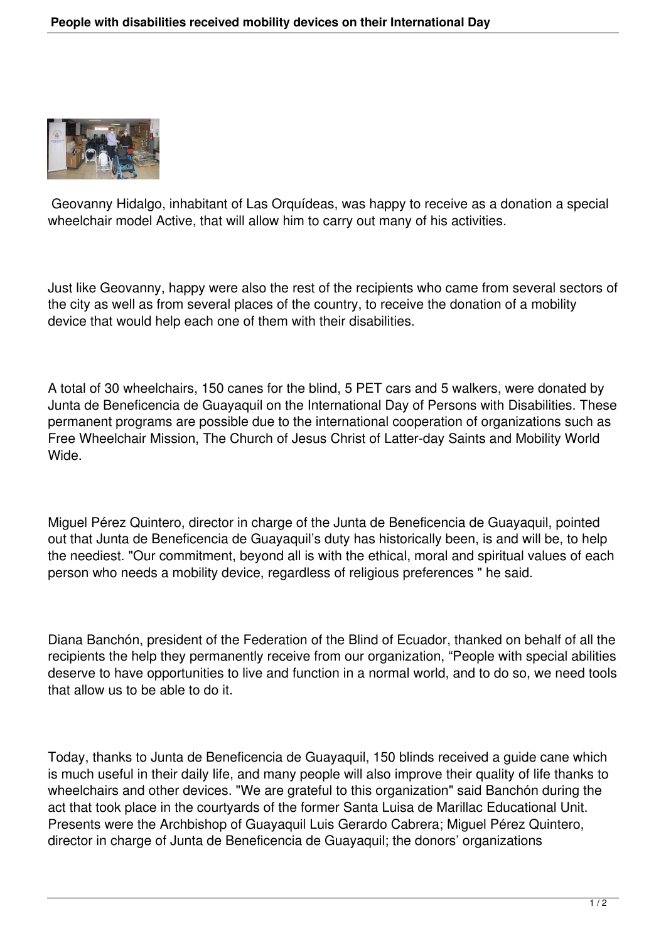

 Geovanny Hidalgo, inhabitant of Las Orquídeas, was happy to receive as a donation a special wheelchair model Active, that will allow him to carry out many of his activities.

Just like Geovanny, happy were also the rest of the recipients who came from several sectors of the city as well as from several places of the country, to receive the donation of a mobility device that would help each one of them with their disabilities.

A total of 30 wheelchairs, 150 canes for the blind, 5 PET cars and 5 walkers, were donated by Junta de Beneficencia de Guayaquil on the International Day of Persons with Disabilities. These permanent programs are possible due to the international cooperation of organizations such as Free Wheelchair Mission, The Church of Jesus Christ of Latter-day Saints and Mobility World Wide.

Miguel Pérez Quintero, director in charge of the Junta de Beneficencia de Guayaquil, pointed out that Junta de Beneficencia de Guayaquil's duty has historically been, is and will be, to help the neediest. "Our commitment, beyond all is with the ethical, moral and spiritual values of each person who needs a mobility device, regardless of religious preferences " he said.

Diana Banchón, president of the Federation of the Blind of Ecuador, thanked on behalf of all the recipients the help they permanently receive from our organization, "People with special abilities deserve to have opportunities to live and function in a normal world, and to do so, we need tools that allow us to be able to do it.

Today, thanks to Junta de Beneficencia de Guayaquil, 150 blinds received a guide cane which is much useful in their daily life, and many people will also improve their quality of life thanks to wheelchairs and other devices. "We are grateful to this organization" said Banchón during the act that took place in the courtyards of the former Santa Luisa de Marillac Educational Unit. Presents were the Archbishop of Guayaquil Luis Gerardo Cabrera; Miguel Pérez Quintero, director in charge of Junta de Beneficencia de Guayaquil; the donors' organizations